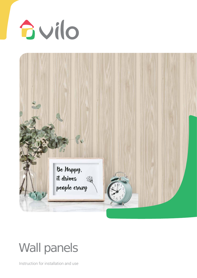



# Wall panels

Instruction for installation and use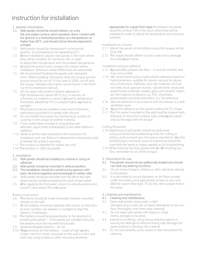## Instruction for installation

1. General information:

- 1.1 Wall panels should be stored indoors, on a dry, flat and stable surface, which prevents direct contact with the ground, in a horizontal position, at a temperature no higher than 60°C, and should not be directly exposed to sunlight.
- 1.2. Wall panels should be transported in a horizontal position, at a temperature not exceeding 60°C.
- 1.3. Before installation, season wall panels in the room where they will be installed, for minimum 24h, in order to adjust their temperature with the ambient temperature.
- 1.4. Unpack the product and compare the colours before installation. Minimum shade differences are admissible.
- 1.5. We recommend finishing the panels with dedicated trims. While installing 105 panels, both the tongue and the groove should be cut off. In the case of 250Q, cut off only the tongue. Detailed information can be found in the finishing trims installation manual.
- 1.6. Do not apply wall panels in places exposed to high temperatures (above 60°C), e.g. in saunas, on chimneys, by cookers; in rooms exposed to temperature fluctuation exceeding 10°C; in places highly exposed to sunlight.
- 1.7. The product may be installed in wet rooms (kitchens, bathrooms) provided it is sealed with silicone.
- 1.8. Do not modify the product by machining its surface or covering it with a layer of another material.
- 1.9. If any visible flaws emerge or irregularities are detected, report them immediately to the seller before installation.
- 1.10. Observe all the rules indicated in the instruction for installation and use. Failure to observe the instructions shall invalidate the product warranty.
- 1.11. The product is intended for indoor use only.
- 1.14. The product is 100% recyclable.

### 2. Installation

- 2.1. Wall panels should be installed on a frame or using an adhesive.
- 2.2. Wall panels should be mounted in vertical position.
- 2.3. The installation should be carried out by persons with basic technical expertise and knowledge of safety rules.
- 2.4. Wall panels should be mounted from the left to the right. observing the numbers located at the back of each panel.
- 2.5. After applying the first panel, check its vertical position and mount it, then attach the next panel.

### Frame construction

- 2.6. The frame should be made of wooden battens mounted directly on the wall.
- 2.7. All the battens should be adjusted with a level, so they form an even surface; use washers or wedges to align the battens, if necessary.
- 2.8 The battens should be perpendicular to the direction of installing the panels – if the panels are installed vertically, the battens must be mounted horizontally.
- 2.9. Distance between battens 40 cm.
- 2.10. Requirements for the battens: made of high-quality timber, free from knots, mounted on the wall in a firm and solid way using screws or other mounting elements

appropriate for a given floor type; the battens should be stored for at least 24h in the room where they will be installed (in order to adjust the temperature and moisture content).

#### Installation on a frame

- 2.11. Mount the panels to the battens using the tongue, on the long side.
- 2.12. The staple should adhere in such a way not to damage the subsequent panel.

Installation using an adhesive

- 2.13. Appropriately prepare the floor it must be smooth and may not crumble.
- 2.14. We recommend using a highly elastic adhesive based on hybrid polymers, suitable for interior use and for gluing any construction materials, also wet materials such as concrete, brick, gypsum boards, natural stone, wood and wood-based materials, metals, glass and ceramic materials, the majority of plastics, e.g. PVC, styrofoam, polyacrylates and polycarbonates, e.g. Vilo adhesive.
- 2.15. Use the adhesive in accordance with its manual, in a well ventilated room.
- 2.16. Apply the adhesive on the panels making the "S" shape.
- 2.17. The first panel mounted on the wall must be covered with adhesive on the entire surface, each subsequent panel – only by the edge with the tongue.

Cutting the panels

- 2.18. Machining of wall panels should be performed using conventional woodworking tools for cutting or drilling, such as hand saw, fret saw or saw bench. Use fine toothed saws; mechanic tools for machining should be used with the same or higher speeds as for woodworking.
- 2.19 While finishing the floor panels with B1-B5 finishing profiles, remember to cut off the tongue.
- 3. Information for use
- 3.1. The panels should not be additionally loaded and should not have any bearing functions.
- 3.2. Do not screw hangers, shelves or other elements directly to the panels.
- 3.3. It is permitted to mount elements on the floor located under the panel, using appropriate screws or pins suitable for a given floor type. To do this, drill a proper hole in the panel.
- 4. Cleaning and maintenance
- 4.1. Cleaning and maintenance<br>4.2. Clean wall panels using wa
- Clean wall panels using water, a light detergent and a cloth; do not leave detergents on the surface, thoroughly rinse them after cleaning.
- 4.3. Do not clean wall panels with sharp or rough cloths, sponges or brushes.
- 4.4. Intensive scrubbing, using strong cleaning agents or leaving the detergents without rinsing may damage the panel surface or decolour the material.
- 4.5. Do not use solvents, acids, bases or their derivatives for cleaning.